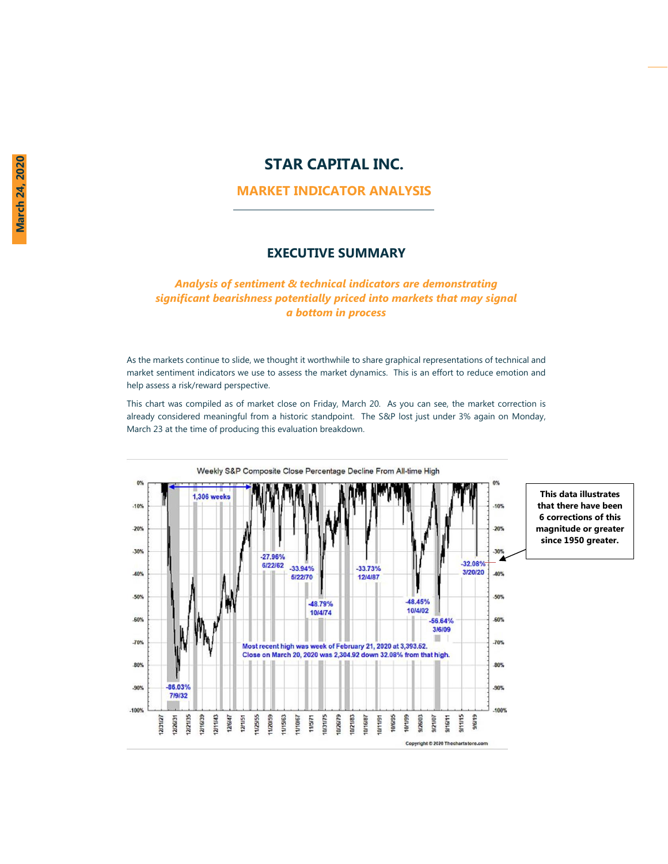# **STAR CAPITAL INC.**

## **MARKET INDICATOR ANALYSIS**

### **EXECUTIVE SUMMARY**

## *Analysis of sentiment & technical indicators are demonstrating significant bearishness potentially priced into markets that may signal a bottom in process*

As the markets continue to slide, we thought it worthwhile to share graphical representations of technical and market sentiment indicators we use to assess the market dynamics. This is an effort to reduce emotion and help assess a risk/reward perspective.

This chart was compiled as of market close on Friday, March 20. As you can see, the market correction is already considered meaningful from a historic standpoint. The S&P lost just under 3% again on Monday, March 23 at the time of producing this evaluation breakdown.

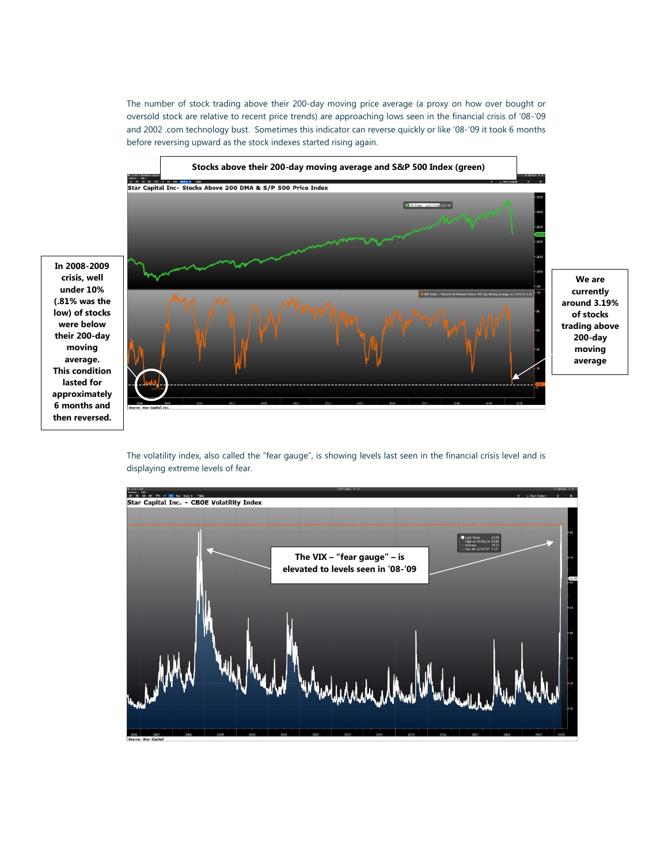The number of stock trading above their 200-day moving price average (a proxy on how over bought or oversold stock are relative to recent price trends) are approaching lows seen in the financial crisis of '08-'09 and 2002 .com technology bust. Sometimes this indicator can reverse quickly or like '08-'09 it took 6 months before reversing upward as the stock indexes started rising again.



**In 2008-2009 crisis, well under 10% (.81% was the low) of stocks were below their 200-day moving average. This condition lasted for approximately 6 months and then reversed.**

> The volatility index, also called the "fear gauge", is showing levels last seen in the financial crisis level and is displaying extreme levels of fear.

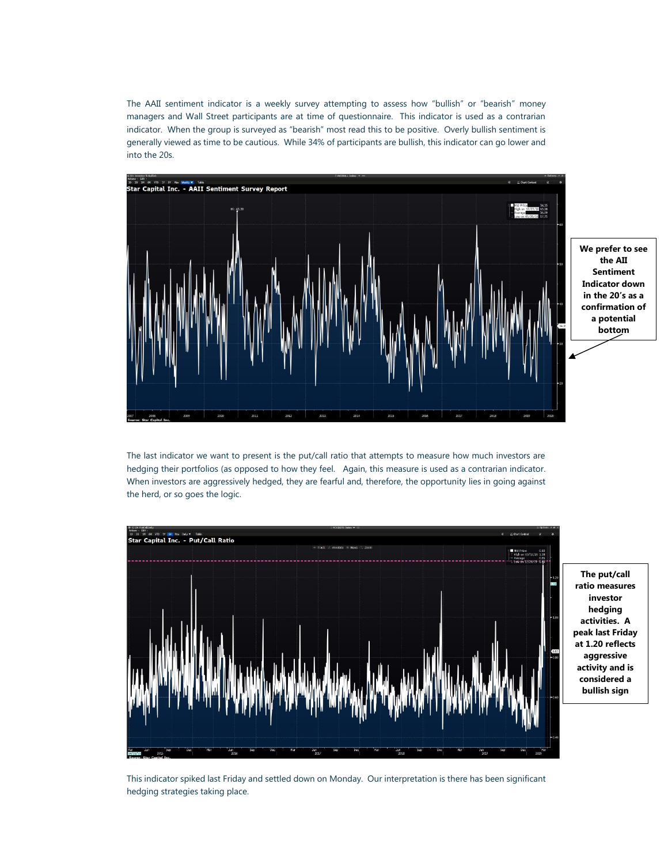The AAII sentiment indicator is a weekly survey attempting to assess how "bullish" or "bearish" money managers and Wall Street participants are at time of questionnaire. This indicator is used as a contrarian indicator. When the group is surveyed as "bearish" most read this to be positive. Overly bullish sentiment is generally viewed as time to be cautious. While 34% of participants are bullish, this indicator can go lower and into the 20s.



**We prefer to see the AII Sentiment Indicator down in the 20's as a confirmation of a potential bottom** 

The last indicator we want to present is the put/call ratio that attempts to measure how much investors are hedging their portfolios (as opposed to how they feel. Again, this measure is used as a contrarian indicator. When investors are aggressively hedged, they are fearful and, therefore, the opportunity lies in going against the herd, or so goes the logic.



**The put/call ratio measures investor hedging activities. A peak last Friday at 1.20 reflects aggressive activity and is considered a bullish sign**

This indicator spiked last Friday and settled down on Monday. Our interpretation is there has been significant hedging strategies taking place.